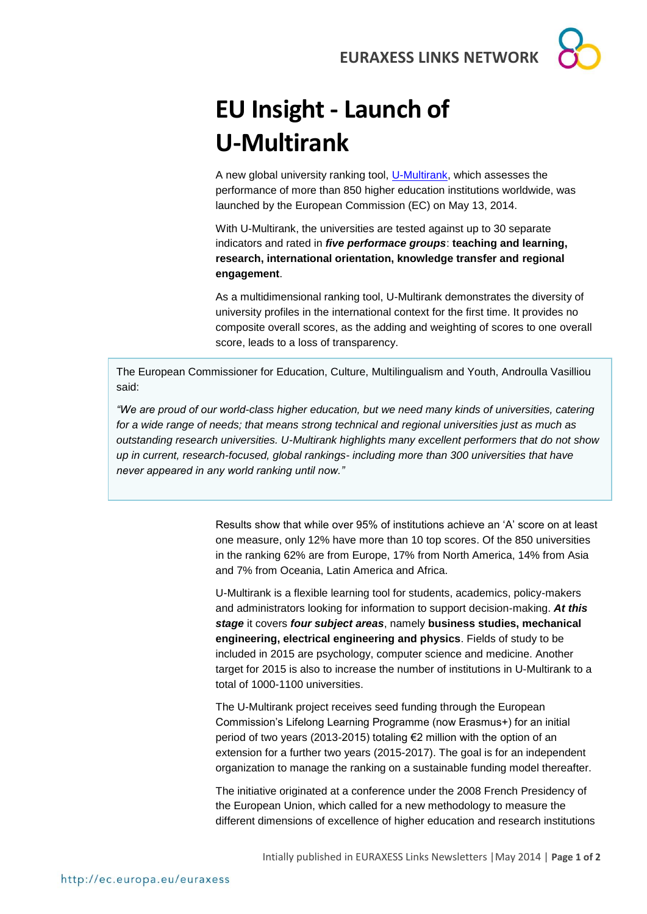**EURAXESS LINKS NETWORK**

## **EU Insight - Launch of U-Multirank**

A new global university ranking tool, [U-Multirank,](http://www.umultirank.org/#!/home?trackType=home) which assesses the performance of more than 850 higher education institutions worldwide, was launched by the European Commission (EC) on May 13, 2014.

With U-Multirank, the universities are tested against up to 30 separate indicators and rated in *five performace groups*: **teaching and learning, research, international orientation, knowledge transfer and regional engagement**.

As a multidimensional ranking tool, U-Multirank demonstrates the diversity of university profiles in the international context for the first time. It provides no composite overall scores, as the adding and weighting of scores to one overall score, leads to a loss of transparency.

The European Commissioner for Education, Culture, Multilingualism and Youth, Androulla Vasilliou said:

*"We are proud of our world-class higher education, but we need many kinds of universities, catering for a wide range of needs; that means strong technical and regional universities just as much as outstanding research universities. U-Multirank highlights many excellent performers that do not show up in current, research-focused, global rankings- including more than 300 universities that have never appeared in any world ranking until now."*

> Results show that while over 95% of institutions achieve an 'A' score on at least one measure, only 12% have more than 10 top scores. Of the 850 universities in the ranking 62% are from Europe, 17% from North America, 14% from Asia and 7% from Oceania, Latin America and Africa.

U-Multirank is a flexible learning tool for students, academics, policy-makers and administrators looking for information to support decision-making. *At this stage* it covers *four subject areas*, namely **business studies, mechanical engineering, electrical engineering and physics**. Fields of study to be included in 2015 are psychology, computer science and medicine. Another target for 2015 is also to increase the number of institutions in U-Multirank to a total of 1000-1100 universities.

The U-Multirank project receives seed funding through the European Commission's Lifelong Learning Programme (now Erasmus+) for an initial period of two years (2013-2015) totaling €2 million with the option of an extension for a further two years (2015-2017). The goal is for an independent organization to manage the ranking on a sustainable funding model thereafter.

The initiative originated at a conference under the 2008 French Presidency of the European Union, which called for a new methodology to measure the different dimensions of excellence of higher education and research institutions